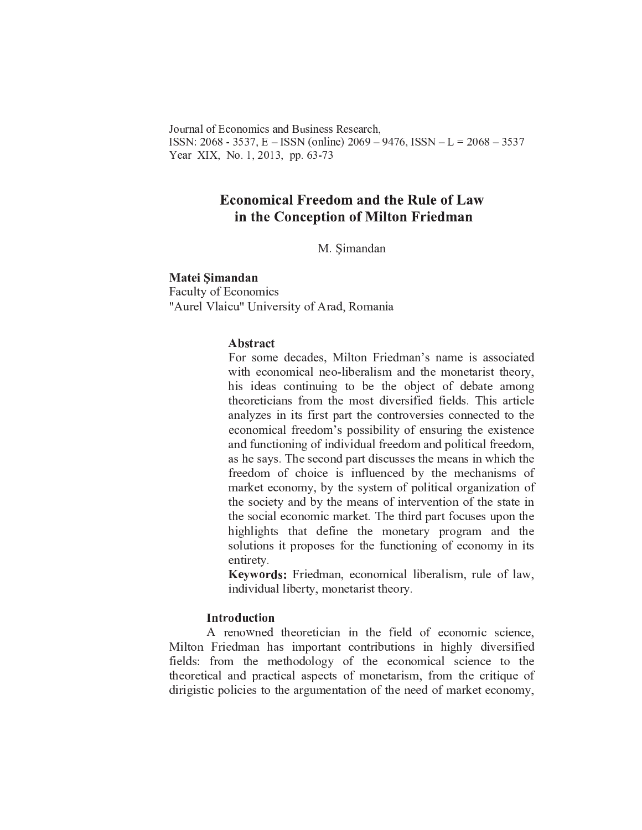Journal of Economics and Business Research. ISSN: 2068 - 3537, E – ISSN (online) 2069 – 9476, ISSN – L =  $2068 - 3537$ Year XIX, No. 1, 2013, pp. 63-73

# **Economical Freedom and the Rule of Law** in the Conception of Milton Friedman

M. Simandan

**Matei Simandan Faculty of Economics** "Aurel Vlaicu" University of Arad, Romania

#### **Abstract**

For some decades, Milton Friedman's name is associated with economical neo-liberalism and the monetarist theory, his ideas continuing to be the object of debate among theoreticians from the most diversified fields. This article analyzes in its first part the controversies connected to the economical freedom's possibility of ensuring the existence and functioning of individual freedom and political freedom, as he says. The second part discusses the means in which the freedom of choice is influenced by the mechanisms of market economy, by the system of political organization of the society and by the means of intervention of the state in the social economic market. The third part focuses upon the highlights that define the monetary program and the solutions it proposes for the functioning of economy in its entirety.

Keywords: Friedman, economical liberalism, rule of law, individual liberty, monetarist theory.

## **Introduction**

A renowned theoretician in the field of economic science, Milton Friedman has important contributions in highly diversified fields: from the methodology of the economical science to the theoretical and practical aspects of monetarism, from the critique of dirigistic policies to the argumentation of the need of market economy,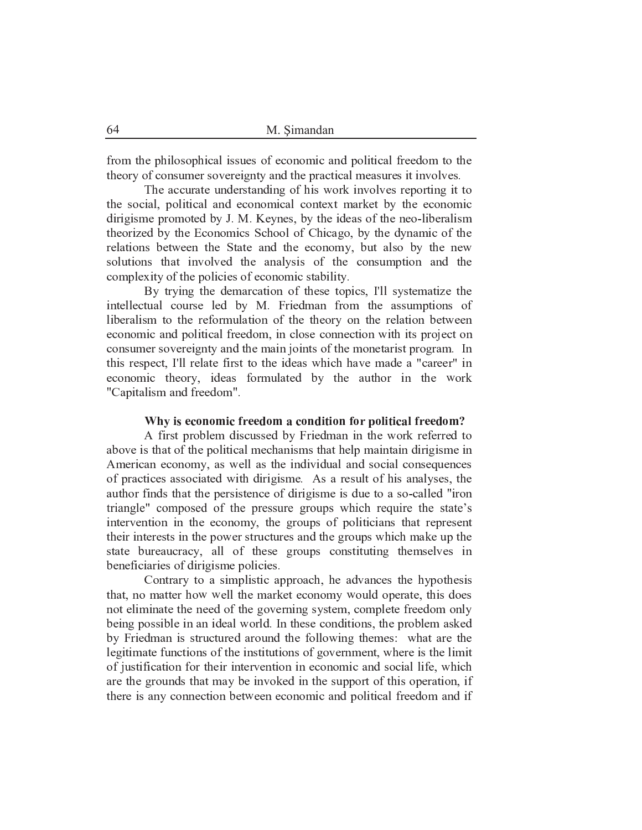from the philosophical issues of economic and political freedom to the theory of consumer sovereignty and the practical measures it involves.

The accurate understanding of his work involves reporting it to the social, political and economical context market by the economic dirigisme promoted by J. M. Keynes, by the ideas of the neo-liberalism theorized by the Economics School of Chicago, by the dynamic of the relations between the State and the economy, but also by the new solutions that involved the analysis of the consumption and the complexity of the policies of economic stability.

By trying the demarcation of these topics, I'll systematize the intellectual course led by M. Friedman from the assumptions of liberalism to the reformulation of the theory on the relation between economic and political freedom, in close connection with its project on consumer sovereignty and the main joints of the monetarist program. In this respect, I'll relate first to the ideas which have made a "career" in economic theory, ideas formulated by the author in the work "Capitalism and freedom".

#### Why is economic freedom a condition for political freedom?

A first problem discussed by Friedman in the work referred to above is that of the political mechanisms that help maintain dirigisme in American economy, as well as the individual and social consequences of practices associated with dirigisme. As a result of his analyses, the author finds that the persistence of dirigisme is due to a so-called "iron triangle" composed of the pressure groups which require the state's intervention in the economy, the groups of politicians that represent their interests in the power structures and the groups which make up the state bureaucracy, all of these groups constituting themselves in beneficiaries of dirigisme policies.

Contrary to a simplistic approach, he advances the hypothesis that, no matter how well the market economy would operate, this does not eliminate the need of the governing system, complete freedom only being possible in an ideal world. In these conditions, the problem asked by Friedman is structured around the following themes: what are the legitimate functions of the institutions of government, where is the limit of justification for their intervention in economic and social life, which are the grounds that may be invoked in the support of this operation, if there is any connection between economic and political freedom and if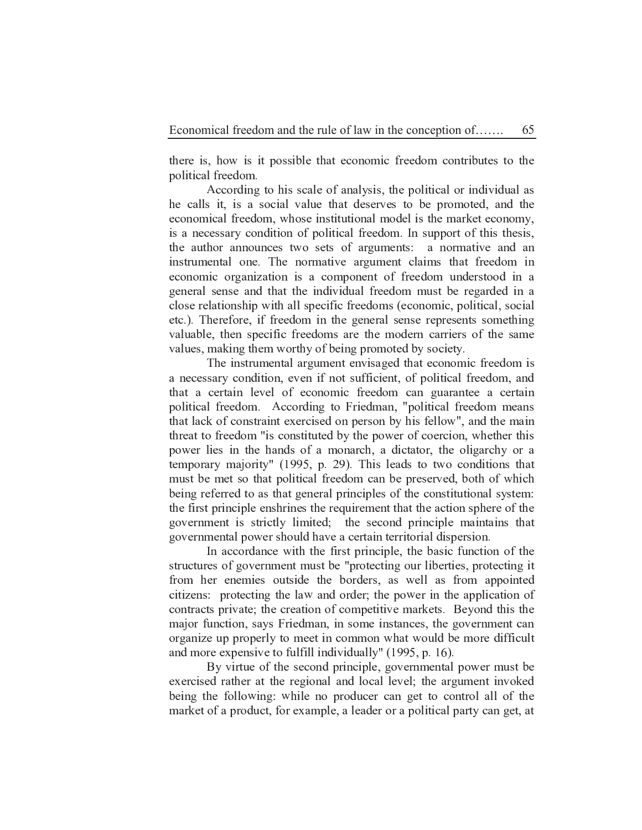there is, how is it possible that economic freedom contributes to the political freedom.

65

According to his scale of analysis, the political or individual as he calls it, is a social value that deserves to be promoted, and the economical freedom, whose institutional model is the market economy, is a necessary condition of political freedom. In support of this thesis, the author announces two sets of arguments: a normative and an instrumental one. The normative argument claims that freedom in economic organization is a component of freedom understood in a general sense and that the individual freedom must be regarded in a close relationship with all specific freedoms (economic, political, social etc.). Therefore, if freedom in the general sense represents something valuable, then specific freedoms are the modern carriers of the same values, making them worthy of being promoted by society.

The instrumental argument envisaged that economic freedom is a necessary condition, even if not sufficient, of political freedom, and that a certain level of economic freedom can guarantee a certain political freedom. According to Friedman, "political freedom means that lack of constraint exercised on person by his fellow", and the main threat to freedom "is constituted by the power of coercion, whether this power lies in the hands of a monarch, a dictator, the oligarchy or a temporary majority" (1995, p. 29). This leads to two conditions that must be met so that political freedom can be preserved, both of which being referred to as that general principles of the constitutional system: the first principle enshrines the requirement that the action sphere of the government is strictly limited; the second principle maintains that governmental power should have a certain territorial dispersion.

In accordance with the first principle, the basic function of the structures of government must be "protecting our liberties, protecting it from her enemies outside the borders, as well as from appointed citizens: protecting the law and order; the power in the application of contracts private; the creation of competitive markets. Beyond this the major function, says Friedman, in some instances, the government can organize up properly to meet in common what would be more difficult and more expensive to fulfill individually" (1995, p. 16).

By virtue of the second principle, governmental power must be exercised rather at the regional and local level; the argument invoked being the following: while no producer can get to control all of the market of a product, for example, a leader or a political party can get, at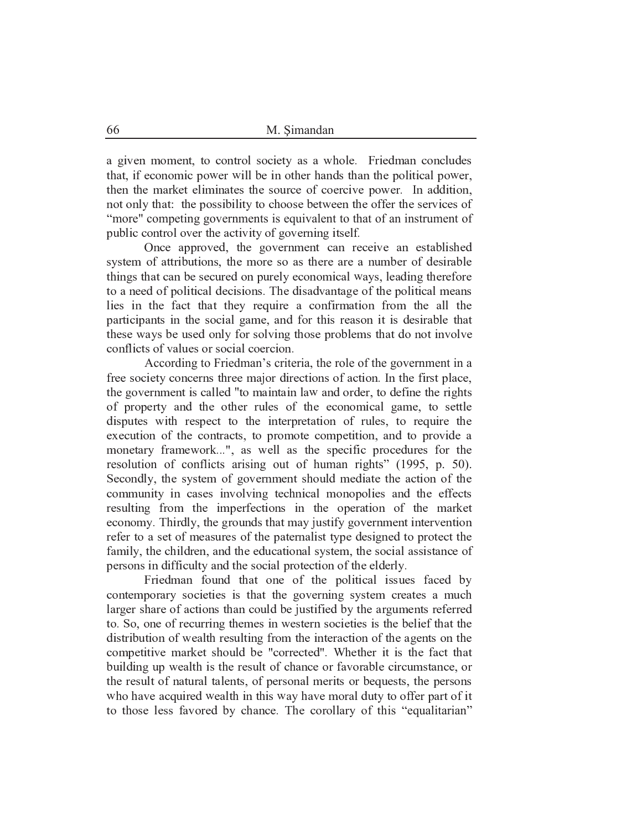a given moment, to control society as a whole. Friedman concludes that, if economic power will be in other hands than the political power, then the market eliminates the source of coercive power. In addition, not only that: the possibility to choose between the offer the services of "more" competing governments is equivalent to that of an instrument of public control over the activity of governing itself.

Once approved, the government can receive an established system of attributions, the more so as there are a number of desirable things that can be secured on purely economical ways, leading therefore to a need of political decisions. The disadvantage of the political means lies in the fact that they require a confirmation from the all the participants in the social game, and for this reason it is desirable that these ways be used only for solving those problems that do not involve conflicts of values or social coercion.

According to Friedman's criteria, the role of the government in a free society concerns three major directions of action. In the first place, the government is called "to maintain law and order, to define the rights of property and the other rules of the economical game, to settle disputes with respect to the interpretation of rules, to require the execution of the contracts, to promote competition, and to provide a monetary framework...", as well as the specific procedures for the resolution of conflicts arising out of human rights" (1995, p. 50). Secondly, the system of government should mediate the action of the community in cases involving technical monopolies and the effects resulting from the imperfections in the operation of the market economy. Thirdly, the grounds that may justify government intervention refer to a set of measures of the paternalist type designed to protect the family, the children, and the educational system, the social assistance of persons in difficulty and the social protection of the elderly.

Friedman found that one of the political issues faced by contemporary societies is that the governing system creates a much larger share of actions than could be justified by the arguments referred to. So, one of recurring themes in western societies is the belief that the distribution of wealth resulting from the interaction of the agents on the competitive market should be "corrected". Whether it is the fact that building up wealth is the result of chance or favorable circumstance, or the result of natural talents, of personal merits or bequests, the persons who have acquired wealth in this way have moral duty to offer part of it to those less favored by chance. The corollary of this "equalitarian"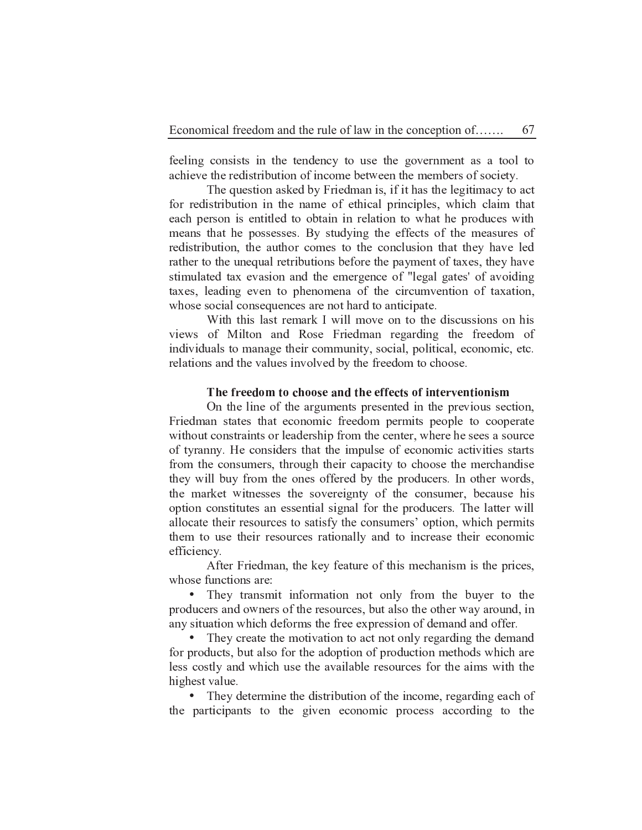feeling consists in the tendency to use the government as a tool to achieve the redistribution of income between the members of society.

67

The question asked by Friedman is, if it has the legitimacy to act for redistribution in the name of ethical principles, which claim that each person is entitled to obtain in relation to what he produces with means that he possesses. By studying the effects of the measures of redistribution, the author comes to the conclusion that they have led rather to the unequal retributions before the payment of taxes, they have stimulated tax evasion and the emergence of "legal gates' of avoiding taxes, leading even to phenomena of the circumvention of taxation, whose social consequences are not hard to anticipate.

With this last remark I will move on to the discussions on his views of Milton and Rose Friedman regarding the freedom of individuals to manage their community, social, political, economic, etc. relations and the values involved by the freedom to choose.

#### The freedom to choose and the effects of interventionism

On the line of the arguments presented in the previous section, Friedman states that economic freedom permits people to cooperate without constraints or leadership from the center, where he sees a source of tyranny. He considers that the impulse of economic activities starts from the consumers, through their capacity to choose the merchandise they will buy from the ones offered by the producers. In other words, the market witnesses the sovereignty of the consumer, because his option constitutes an essential signal for the producers. The latter will allocate their resources to satisfy the consumers' option, which permits them to use their resources rationally and to increase their economic efficiency.

After Friedman, the key feature of this mechanism is the prices, whose functions are:

• They transmit information not only from the buyer to the producers and owners of the resources, but also the other way around, in any situation which deforms the free expression of demand and offer.

They create the motivation to act not only regarding the demand  $\bullet$ for products, but also for the adoption of production methods which are less costly and which use the available resources for the aims with the highest value.

• They determine the distribution of the income, regarding each of the participants to the given economic process according to the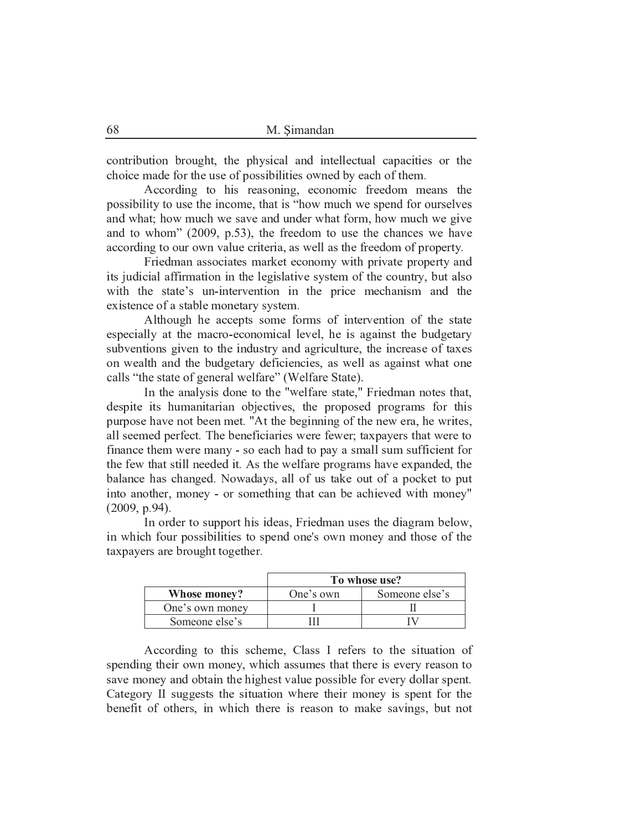contribution brought, the physical and intellectual capacities or the choice made for the use of possibilities owned by each of them.

According to his reasoning, economic freedom means the possibility to use the income, that is "how much we spend for ourselves" and what; how much we save and under what form, how much we give and to whom" (2009, p.53), the freedom to use the chances we have according to our own value criteria, as well as the freedom of property.

Friedman associates market economy with private property and its judicial affirmation in the legislative system of the country, but also with the state's un-intervention in the price mechanism and the existence of a stable monetary system.

Although he accepts some forms of intervention of the state especially at the macro-economical level, he is against the budgetary subventions given to the industry and agriculture, the increase of taxes on wealth and the budgetary deficiencies, as well as against what one calls "the state of general welfare" (Welfare State).

In the analysis done to the "welfare state," Friedman notes that, despite its humanitarian objectives, the proposed programs for this purpose have not been met. "At the beginning of the new era, he writes, all seemed perfect. The beneficiaries were fewer; taxpayers that were to finance them were many - so each had to pay a small sum sufficient for the few that still needed it. As the welfare programs have expanded, the balance has changed. Nowadays, all of us take out of a pocket to put into another, money - or something that can be achieved with money"  $(2009, p.94).$ 

In order to support his ideas, Friedman uses the diagram below, in which four possibilities to spend one's own money and those of the taxpayers are brought together.

|                 | To whose use? |                |
|-----------------|---------------|----------------|
| Whose money?    | One's own     | Someone else's |
| One's own money |               |                |
| Someone else's  |               |                |

According to this scheme, Class I refers to the situation of spending their own money, which assumes that there is every reason to save money and obtain the highest value possible for every dollar spent. Category II suggests the situation where their money is spent for the benefit of others, in which there is reason to make savings, but not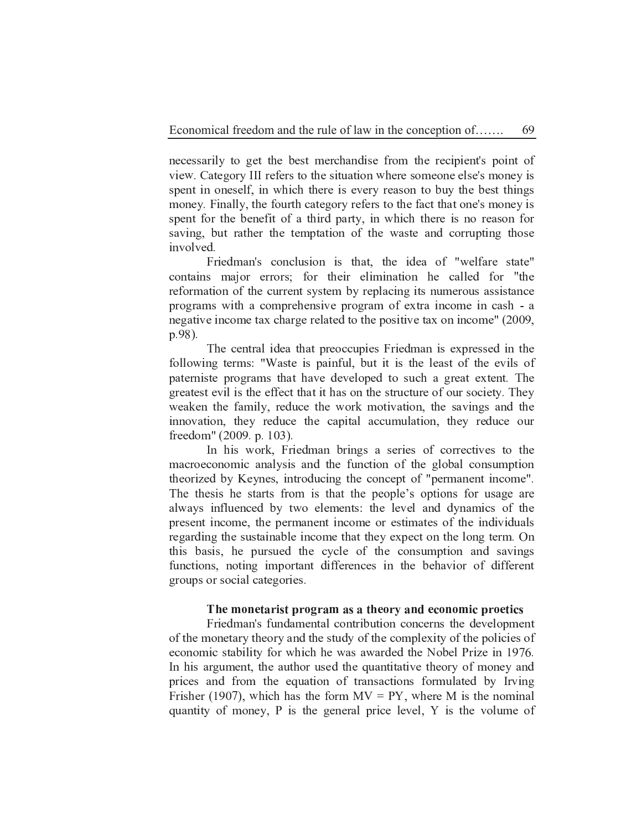necessarily to get the best merchandise from the recipient's point of view. Category III refers to the situation where someone else's money is spent in oneself, in which there is every reason to buy the best things money. Finally, the fourth category refers to the fact that one's money is spent for the benefit of a third party, in which there is no reason for saving, but rather the temptation of the waste and corrupting those involved.

Friedman's conclusion is that, the idea of "welfare state" contains major errors; for their elimination he called for "the reformation of the current system by replacing its numerous assistance programs with a comprehensive program of extra income in cash - a negative income tax charge related to the positive tax on income" (2009, p.98).

The central idea that preoccupies Friedman is expressed in the following terms: "Waste is painful, but it is the least of the evils of paterniste programs that have developed to such a great extent. The greatest evil is the effect that it has on the structure of our society. They weaken the family, reduce the work motivation, the savings and the innovation, they reduce the capital accumulation, they reduce our freedom" (2009. p. 103).

In his work, Friedman brings a series of correctives to the macroeconomic analysis and the function of the global consumption theorized by Keynes, introducing the concept of "permanent income". The thesis he starts from is that the people's options for usage are always influenced by two elements: the level and dynamics of the present income, the permanent income or estimates of the individuals regarding the sustainable income that they expect on the long term. On this basis, he pursued the cycle of the consumption and savings functions, noting important differences in the behavior of different groups or social categories.

#### The monetarist program as a theory and economic proetics

Friedman's fundamental contribution concerns the development of the monetary theory and the study of the complexity of the policies of economic stability for which he was awarded the Nobel Prize in 1976. In his argument, the author used the quantitative theory of money and prices and from the equation of transactions formulated by Irving Frisher (1907), which has the form  $MV = PY$ , where M is the nominal quantity of money, P is the general price level, Y is the volume of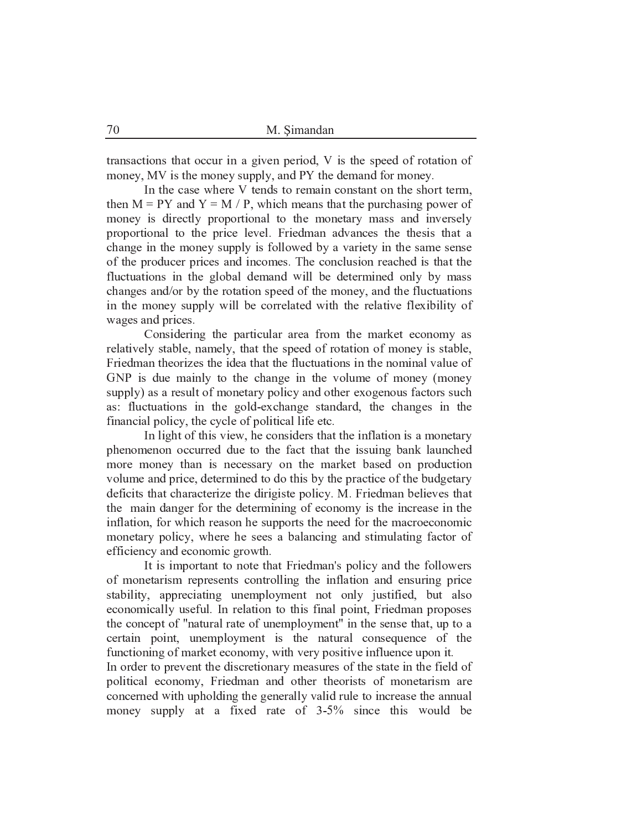transactions that occur in a given period, V is the speed of rotation of money, MV is the money supply, and PY the demand for money.

In the case where V tends to remain constant on the short term, then  $M = PY$  and  $Y = M / P$ , which means that the purchasing power of money is directly proportional to the monetary mass and inversely proportional to the price level. Friedman advances the thesis that a change in the money supply is followed by a variety in the same sense of the producer prices and incomes. The conclusion reached is that the fluctuations in the global demand will be determined only by mass changes and/or by the rotation speed of the money, and the fluctuations in the money supply will be correlated with the relative flexibility of wages and prices.

Considering the particular area from the market economy as relatively stable, namely, that the speed of rotation of money is stable, Friedman theorizes the idea that the fluctuations in the nominal value of GNP is due mainly to the change in the volume of money (money supply) as a result of monetary policy and other exogenous factors such as: fluctuations in the gold-exchange standard, the changes in the financial policy, the cycle of political life etc.

In light of this view, he considers that the inflation is a monetary phenomenon occurred due to the fact that the issuing bank launched more money than is necessary on the market based on production volume and price, determined to do this by the practice of the budgetary deficits that characterize the dirigiste policy. M. Friedman believes that the main danger for the determining of economy is the increase in the inflation, for which reason he supports the need for the macroeconomic monetary policy, where he sees a balancing and stimulating factor of efficiency and economic growth.

It is important to note that Friedman's policy and the followers of monetarism represents controlling the inflation and ensuring price stability, appreciating unemployment not only justified, but also economically useful. In relation to this final point, Friedman proposes the concept of "natural rate of unemployment" in the sense that, up to a certain point, unemployment is the natural consequence of the functioning of market economy, with very positive influence upon it.

In order to prevent the discretionary measures of the state in the field of political economy, Friedman and other theorists of monetarism are concerned with upholding the generally valid rule to increase the annual money supply at a fixed rate of 3-5% since this would be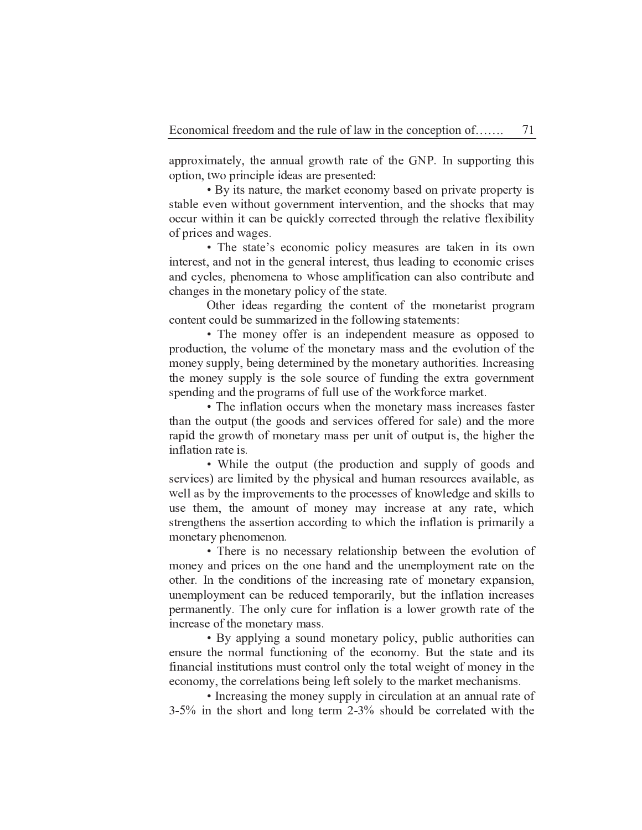approximately, the annual growth rate of the GNP. In supporting this option, two principle ideas are presented:

• By its nature, the market economy based on private property is stable even without government intervention, and the shocks that may occur within it can be quickly corrected through the relative flexibility of prices and wages.

• The state's economic policy measures are taken in its own interest, and not in the general interest, thus leading to economic crises and cycles, phenomena to whose amplification can also contribute and changes in the monetary policy of the state.

Other ideas regarding the content of the monetarist program content could be summarized in the following statements:

• The money offer is an independent measure as opposed to production, the volume of the monetary mass and the evolution of the money supply, being determined by the monetary authorities. Increasing the money supply is the sole source of funding the extra government spending and the programs of full use of the workforce market.

• The inflation occurs when the monetary mass increases faster than the output (the goods and services offered for sale) and the more rapid the growth of monetary mass per unit of output is, the higher the inflation rate is.

• While the output (the production and supply of goods and services) are limited by the physical and human resources available, as well as by the improvements to the processes of knowledge and skills to use them, the amount of money may increase at any rate, which strengthens the assertion according to which the inflation is primarily a monetary phenomenon.

• There is no necessary relationship between the evolution of money and prices on the one hand and the unemployment rate on the other. In the conditions of the increasing rate of monetary expansion, unemployment can be reduced temporarily, but the inflation increases permanently. The only cure for inflation is a lower growth rate of the increase of the monetary mass.

• By applying a sound monetary policy, public authorities can ensure the normal functioning of the economy. But the state and its financial institutions must control only the total weight of money in the economy, the correlations being left solely to the market mechanisms.

• Increasing the money supply in circulation at an annual rate of  $3-5\%$  in the short and long term  $2-3\%$  should be correlated with the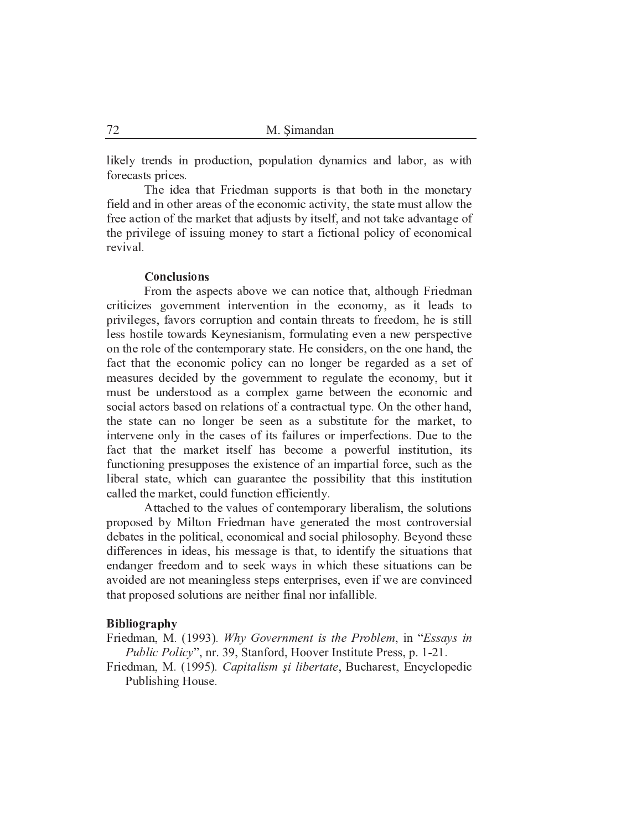likely trends in production, population dynamics and labor, as with forecasts prices.

The idea that Friedman supports is that both in the monetary field and in other areas of the economic activity, the state must allow the free action of the market that adjusts by itself, and not take advantage of the privilege of issuing money to start a fictional policy of economical revival.

### **Conclusions**

From the aspects above we can notice that, although Friedman criticizes government intervention in the economy, as it leads to privileges, favors corruption and contain threats to freedom, he is still less hostile towards Keynesianism, formulating even a new perspective on the role of the contemporary state. He considers, on the one hand, the fact that the economic policy can no longer be regarded as a set of measures decided by the government to regulate the economy, but it must be understood as a complex game between the economic and social actors based on relations of a contractual type. On the other hand, the state can no longer be seen as a substitute for the market, to intervene only in the cases of its failures or imperfections. Due to the fact that the market itself has become a powerful institution, its functioning presupposes the existence of an impartial force, such as the liberal state, which can guarantee the possibility that this institution called the market, could function efficiently.

Attached to the values of contemporary liberalism, the solutions proposed by Milton Friedman have generated the most controversial debates in the political, economical and social philosophy. Beyond these differences in ideas, his message is that, to identify the situations that endanger freedom and to seek ways in which these situations can be avoided are not meaningless steps enterprises, even if we are convinced that proposed solutions are neither final nor infallible.

#### Bibliography

Friedman, M. (1993). Why Government is the Problem, in "Essays in *Public Policy*", nr. 39, Stanford, Hoover Institute Press, p. 1-21.

Friedman, M. (1995). Capitalism și libertate, Bucharest, Encyclopedic Publishing House.

72